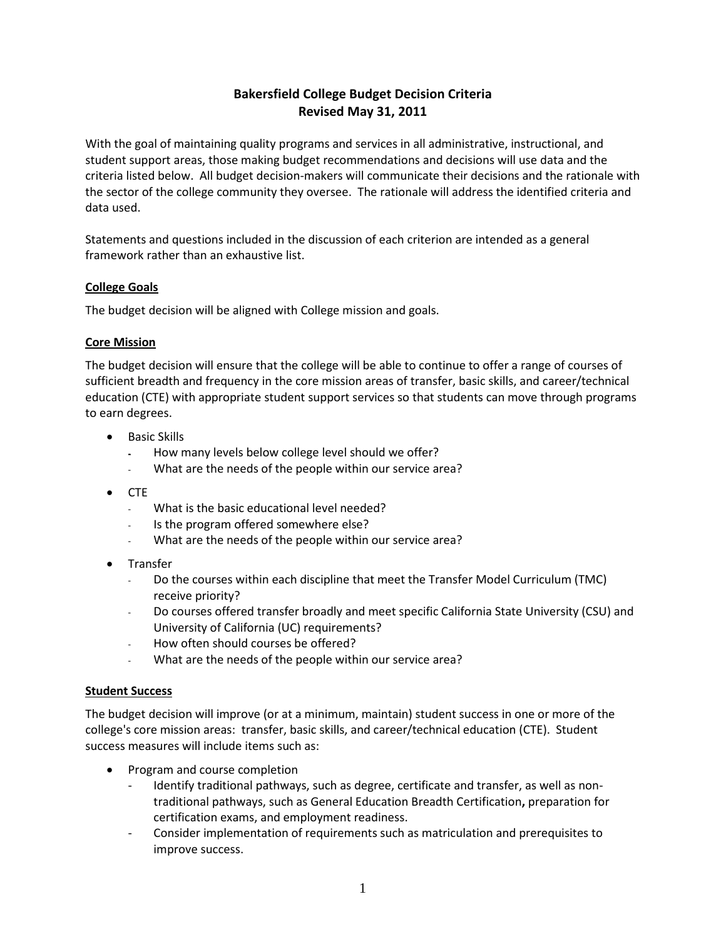# **Bakersfield College Budget Decision Criteria Revised May 31, 2011**

With the goal of maintaining quality programs and services in all administrative, instructional, and student support areas, those making budget recommendations and decisions will use data and the criteria listed below. All budget decision-makers will communicate their decisions and the rationale with the sector of the college community they oversee. The rationale will address the identified criteria and data used.

Statements and questions included in the discussion of each criterion are intended as a general framework rather than an exhaustive list.

## **College Goals**

The budget decision will be aligned with College mission and goals.

### **Core Mission**

The budget decision will ensure that the college will be able to continue to offer a range of courses of sufficient breadth and frequency in the core mission areas of transfer, basic skills, and career/technical education (CTE) with appropriate student support services so that students can move through programs to earn degrees.

- Basic Skills
	- How many levels below college level should we offer?
	- What are the needs of the people within our service area?
- CTE
	- What is the basic educational level needed?
	- Is the program offered somewhere else?
	- What are the needs of the people within our service area?
- Transfer
	- Do the courses within each discipline that meet the Transfer Model Curriculum (TMC) receive priority?
	- Do courses offered transfer broadly and meet specific California State University (CSU) and University of California (UC) requirements?
	- How often should courses be offered?
	- What are the needs of the people within our service area?

#### **Student Success**

The budget decision will improve (or at a minimum, maintain) student success in one or more of the college's core mission areas: transfer, basic skills, and career/technical education (CTE). Student success measures will include items such as:

- Program and course completion
	- Identify traditional pathways, such as degree, certificate and transfer, as well as nontraditional pathways, such as General Education Breadth Certification**,** preparation for certification exams, and employment readiness.
	- Consider implementation of requirements such as matriculation and prerequisites to improve success.